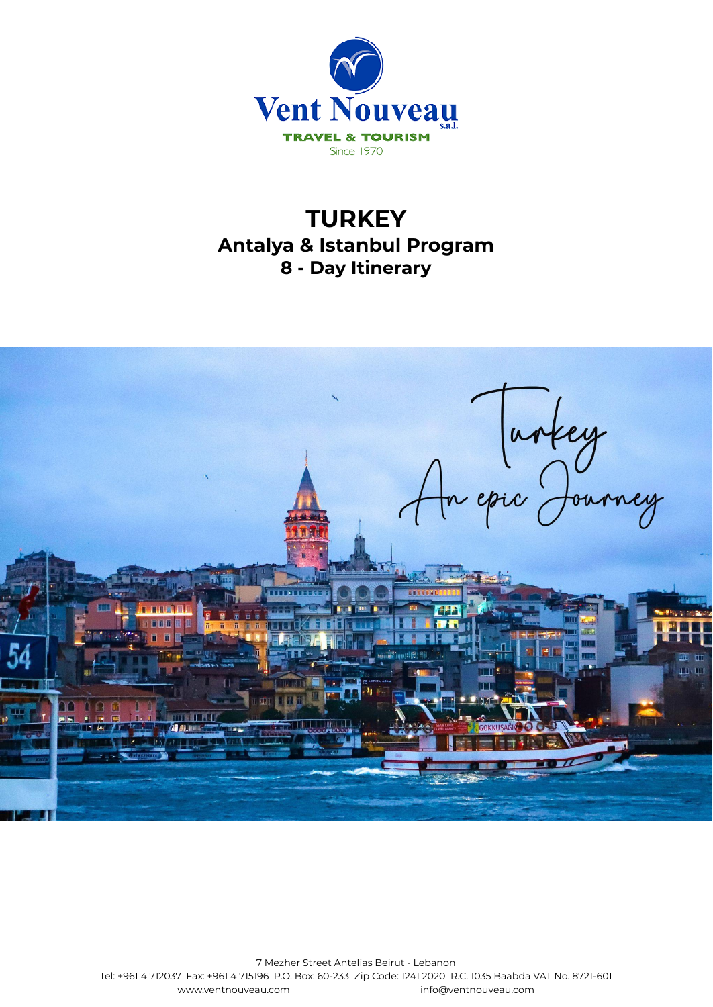

# **TURKEY Antalya & Istanbul Program 8 - Day Itinerary**

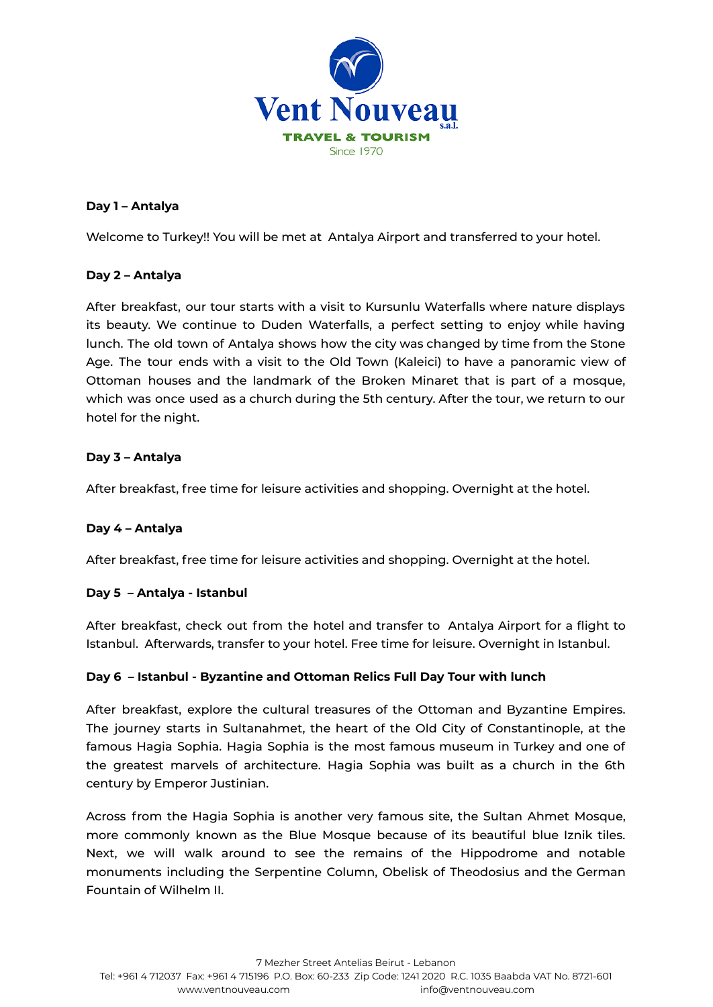

#### **Day 1 – Antalya**

Welcome to Turkey!! You will be met at Antalya Airport and transferred to your hotel.

# **Day 2 – Antalya**

After breakfast, our tour starts with a visit to Kursunlu Waterfalls where nature displays its beauty. We continue to Duden Waterfalls, a perfect setting to enjoy while having lunch. The old town of Antalya shows how the city was changed by time from the Stone Age. The tour ends with a visit to the Old Town (Kaleici) to have a panoramic view of Ottoman houses and the landmark of the Broken Minaret that is part of a mosque, which was once used as a church during the 5th century. After the tour, we return to our hotel for the night.

#### **Day 3 – Antalya**

After breakfast, free time for leisure activities and shopping. Overnight at the hotel.

# **Day 4 – Antalya**

After breakfast, free time for leisure activities and shopping. Overnight at the hotel.

#### **Day 5 – Antalya - Istanbul**

After breakfast, check out from the hotel and transfer to Antalya Airport for a flight to Istanbul. Afterwards, transfer to your hotel. Free time for leisure. Overnight in Istanbul.

# **Day 6 – Istanbul - Byzantine and Ottoman Relics Full Day Tour with lunch**

After breakfast, explore the cultural treasures of the Ottoman and Byzantine Empires. The journey starts in Sultanahmet, the heart of the Old City of Constantinople, at the famous Hagia Sophia. Hagia Sophia is the most famous museum in Turkey and one of the greatest marvels of architecture. Hagia Sophia was built as a church in the 6th century by Emperor Justinian.

Across from the Hagia Sophia is another very famous site, the Sultan Ahmet Mosque, more commonly known as the Blue [Mosque](https://istanbul.com/things-to-do/blue-mosque) because of its beautiful blue Iznik tiles. Next, we will walk around to see the remains of the Hippodrome and notable monuments including the Serpentine Column, Obelisk of Theodosius and the German Fountain of Wilhelm II.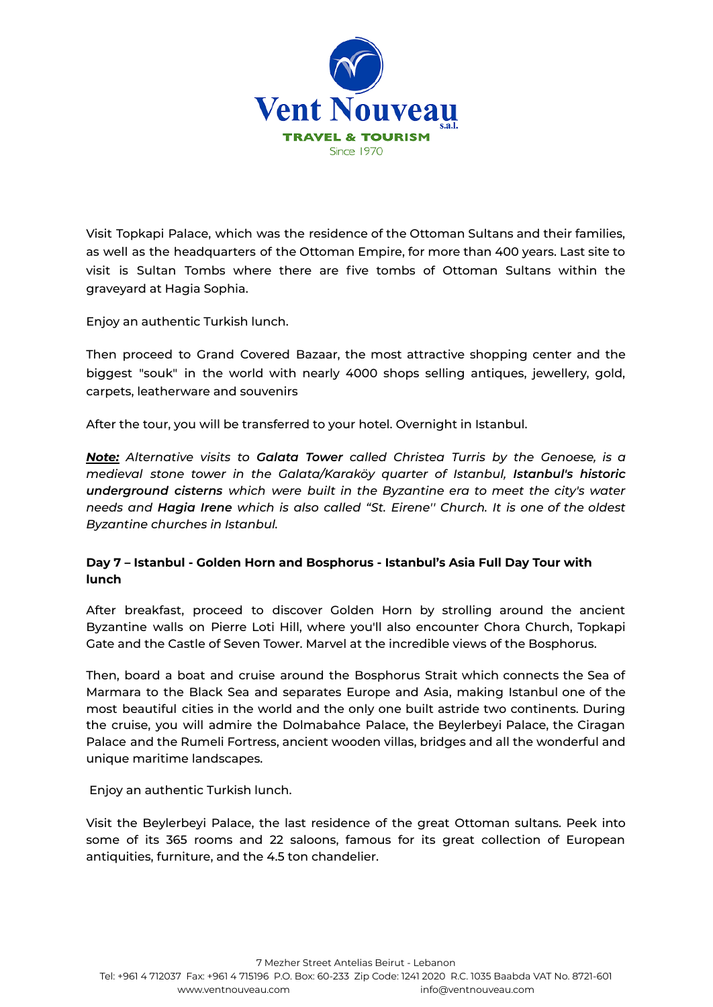

Visit Topkapi Palace, which was the residence of the Ottoman Sultans and their families, as well as the headquarters of the Ottoman Empire, for more than 400 years. Last site to visit is Sultan Tombs where there are five tombs of Ottoman Sultans within the graveyard at Hagia Sophia.

Enjoy an authentic Turkish lunch.

Then proceed to Grand Covered Bazaar, the most attractive shopping center and the biggest "souk" in the world with nearly 4000 shops selling antiques, jewellery, gold, carpets, leatherware and souvenirs

After the tour, you will be transferred to your hotel. Overnight in Istanbul.

*Note: Alternative visits to Galata Tower called Christea Turris by the Genoese, is a medieval stone tower in the Galata/Karaköy quarter of Istanbul, Istanbul's historic underground cisterns which were built in the Byzantine era to meet the city's water needs and Hagia Irene which is also called "St. Eirene'' Church. It is one of the oldest Byzantine churches in Istanbul.*

# **Day 7 – Istanbul - Golden Horn and Bosphorus - Istanbul's Asia Full Day Tour with lunch**

After breakfast, proceed to discover Golden Horn by strolling around the ancient Byzantine walls on Pierre Loti Hill, where you'll also encounter Chora Church, Topkapi Gate and the Castle of Seven Tower. Marvel at the incredible views of the Bosphorus.

Then, board a boat and cruise around the Bosphorus Strait which connects the Sea of Marmara to the Black Sea and separates Europe and Asia, making Istanbul one of the most beautiful cities in the world and the only one built astride two continents. During the cruise, you will admire the Dolmabahce Palace, the Beylerbeyi Palace, the Ciragan Palace and the Rumeli Fortress, ancient wooden villas, bridges and all the wonderful and unique maritime landscapes.

Enjoy an authentic Turkish lunch.

Visit the Beylerbeyi Palace, the last residence of the great Ottoman sultans. Peek into some of its 365 rooms and 22 saloons, famous for its great collection of European antiquities, furniture, and the 4.5 ton chandelier.